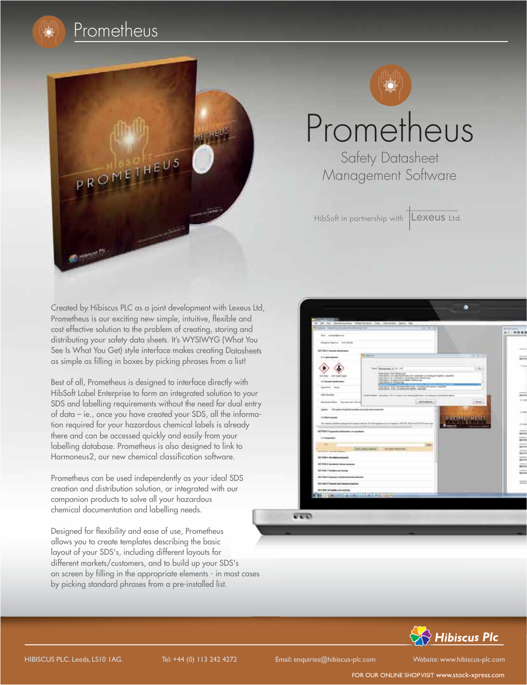





## Prometheus

**Safety Datasheet** Management Software

HibSoft in partnership with **Lexeus** Ltd.

Created by Hibiscus PLC as a joint development with Lexeus Ltd, Prometheus is our exciting new simple, intuitive, flexible and cost effective solution to the problem of creating, storing and distributing your safety data sheets. It's WYSIWYG (What You See Is What You Get) style interface makes creating Datasheets as simple as filling in boxes by picking phrases from a list!

Best of all, Prometheus is designed to interface directly with HibSoft Label Enterprise to form an integrated solution to your SDS and labelling requirements without the need for dual entry of data – ie., once you have created your SDS, all the information required for your hazardous chemical labels is already there and can be accessed quickly and easily from your labelling database. Prometheus is also designed to link to Harmoneus2, our new chemical classification software. ng and<br>Vhat You<br>Datasheets<br>a list!<br>y with<br>n to your<br>dentify<br>a informa-<br>lready<br>wr k to<br>e.

Prometheus can be used independently as your ideal SDS creation and distribution solution, or integrated with our companion products to solve all your hazardous chemical documentation and labelling needs.

Designed for flexibility and ease of use, Prometheus allows you to create templates describing the basic layout of your SDS's, including different layouts for different markets/customers, and to build up your SDS's on screen by filling in the appropriate elements - in most cases by picking standard phrases from a pre-installed list.



 $\overline{v}\,\overline{v}\,\overline{v}$ 



FOR OUR ONLINE SHOPVISIT www.stock-xpress.com